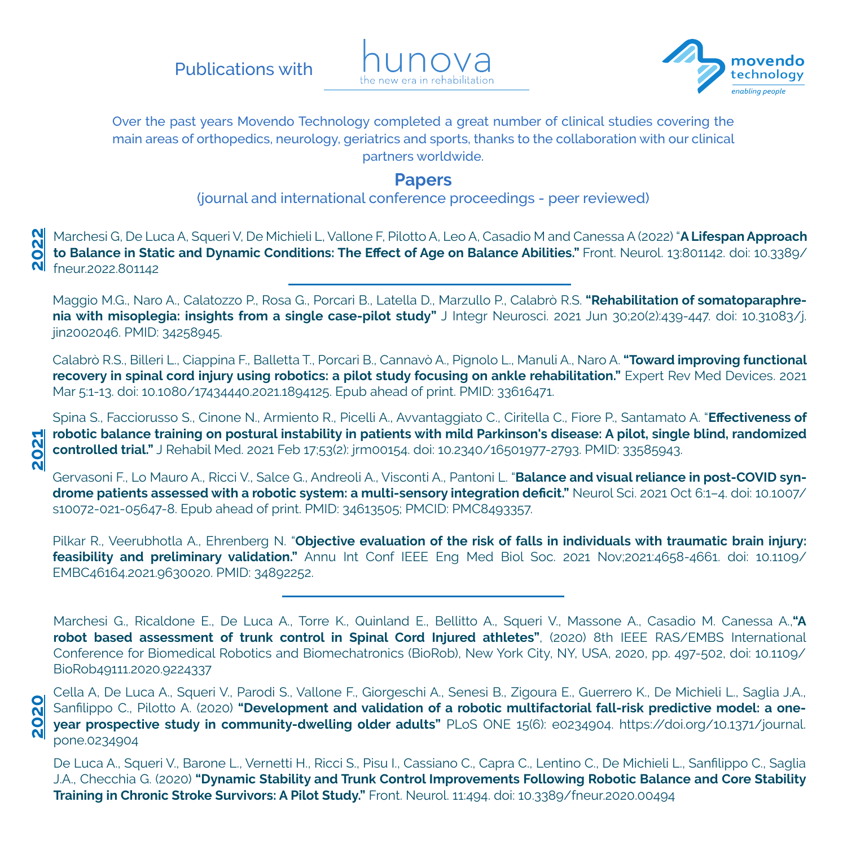Publications with





Over the past years Movendo Technology completed a great number of clinical studies covering the main areas of orthopedics, neurology, geriatrics and sports, thanks to the collaboration with our clinical partners worldwide.

## **Papers**

(journal and international conference proceedings - peer reviewed)

**2022** Marchesi G, De Luca A, Squeri V, De Michieli L, Vallone F, Pilotto A, Leo A, Casadio M and Canessa A (2022) "**A Lifespan Approach to Balance in Static and Dynamic Conditions: The Effect of Age on Balance Abilities."** Front. Neurol. 13:801142. doi: 10.3389/ fneur.2022.801142

Maggio M.G., Naro A., Calatozzo P., Rosa G., Porcari B., Latella D., Marzullo P., Calabrò R.S. **"Rehabilitation of somatoparaphrenia with misoplegia: insights from a single case-pilot study"** J Integr Neurosci. 2021 Jun 30;20(2):439-447. doi: 10.31083/j. jin2002046. PMID: 34258945.

Calabrò R.S., Billeri L., Ciappina F., Balletta T., Porcari B., Cannavò A., Pignolo L., Manuli A., Naro A. **"Toward improving functional recovery in spinal cord injury using robotics: a pilot study focusing on ankle rehabilitation."** Expert Rev Med Devices. 2021 Mar 5:1-13. doi: 10.1080/17434440.2021.1894125. Epub ahead of print. PMID: 33616471.

Spina S., Facciorusso S., Cinone N., Armiento R., Picelli A., Avvantaggiato C., Ciritella C., Fiore P., Santamato A. "**Effectiveness of robotic balance training on postural instability in patients with mild Parkinson's disease: A pilot, single blind, randomized controlled trial."** J Rehabil Med. 2021 Feb 17;53(2): jrm00154. doi: 10.2340/16501977-2793. PMID: 33585943.

**2021**

**2020**

Gervasoni F., Lo Mauro A., Ricci V., Salce G., Andreoli A., Visconti A., Pantoni L. "**Balance and visual reliance in post-COVID syndrome patients assessed with a robotic system: a multi-sensory integration deficit."** Neurol Sci. 2021 Oct 6:1–4. doi: 10.1007/ s10072-021-05647-8. Epub ahead of print. PMID: 34613505; PMCID: PMC8493357.

Pilkar R., Veerubhotla A., Ehrenberg N. "**Objective evaluation of the risk of falls in individuals with traumatic brain injury: feasibility and preliminary validation."** Annu Int Conf IEEE Eng Med Biol Soc. 2021 Nov;2021:4658-4661. doi: 10.1109/ EMBC46164.2021.9630020. PMID: 34892252.

Marchesi G., Ricaldone E., De Luca A., Torre K., Quinland E., Bellitto A., Squeri V., Massone A., Casadio M. Canessa A.,**"A robot based assessment of trunk control in Spinal Cord Injured athletes"**, (2020) 8th IEEE RAS/EMBS International Conference for Biomedical Robotics and Biomechatronics (BioRob), New York City, NY, USA, 2020, pp. 497-502, doi: 10.1109/ BioRob49111.2020.9224337

Cella A, De Luca A., Squeri V., Parodi S., Vallone F., Giorgeschi A., Senesi B., Zigoura E., Guerrero K., De Michieli L., Saglia J.A., Sanfilippo C., Pilotto A. (2020) **"Development and validation of a robotic multifactorial fall-risk predictive model: a oneyear prospective study in community-dwelling older adults"** PLoS ONE 15(6): e0234904. https://doi.org/10.1371/journal. pone.0234904

De Luca A., Squeri V., Barone L., Vernetti H., Ricci S., Pisu I., Cassiano C., Capra C., Lentino C., De Michieli L., Sanfilippo C., Saglia J.A., Checchia G. (2020) **"Dynamic Stability and Trunk Control Improvements Following Robotic Balance and Core Stability Training in Chronic Stroke Survivors: A Pilot Study."** Front. Neurol. 11:494. doi: 10.3389/fneur.2020.00494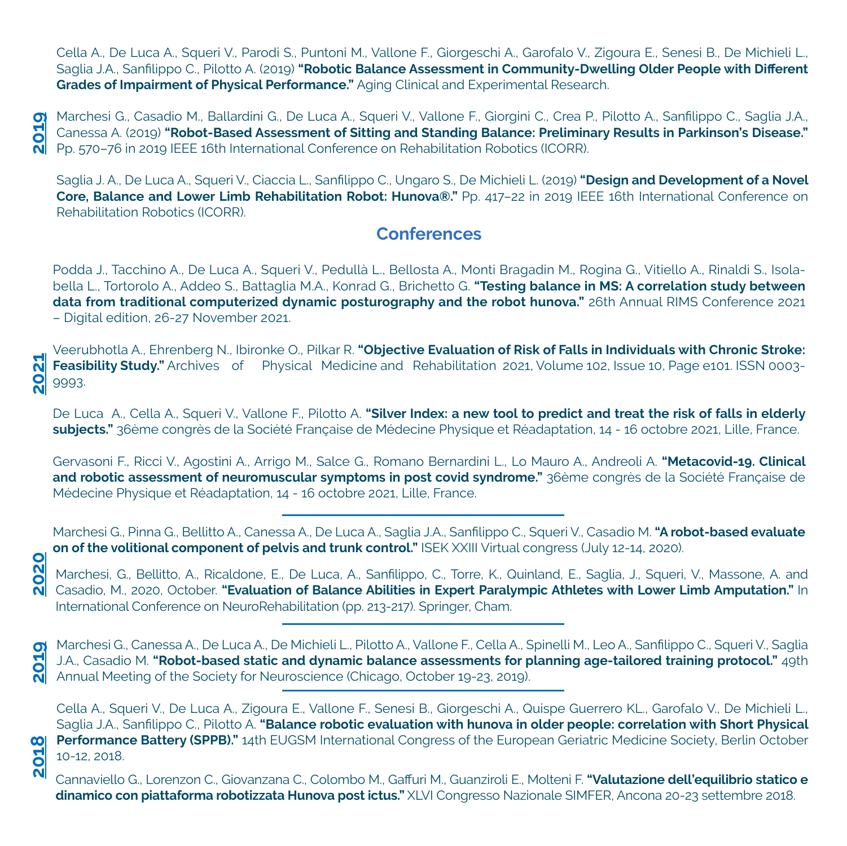Cella A., De Luca A., Squeri V., Parodi S., Puntoni M., Vallone F., Giorgeschi A., Garofalo V., Zigoura E., Senesi B., De Michieli L., Saglia J.A., Sanfilippo C., Pilotto A. (2019) **"Robotic Balance Assessment in Community-Dwelling Older People with Different Grades of Impairment of Physical Performance."** Aging Clinical and Experimental Research.

Marchesi G., Casadio M., Ballardini G., De Luca A., Squeri V., Vallone F., Giorgini C., Crea P., Pilotto A., Sanfilippo C., Saglia J.A., Canessa A. (2019) **"Robot-Based Assessment of Sitting and Standing Balance: Preliminary Results in Parkinson's Disease."** Pp. 570–76 in 2019 IEEE 16th International Conference on Rehabilitation Robotics (ICORR). **2019**

Saglia J. A., De Luca A., Squeri V., Ciaccia L., Sanfilippo C., Ungaro S., De Michieli L. (2019) **"Design and Development of a Novel Core, Balance and Lower Limb Rehabilitation Robot: Hunova®."** Pp. 417–22 in 2019 IEEE 16th International Conference on Rehabilitation Robotics (ICORR).

## **Conferences**

Podda J., Tacchino A., De Luca A., Squeri V., Pedullà L., Bellosta A., Monti Bragadin M., Rogina G., Vitiello A., Rinaldi S., Isolabella L., Tortorolo A., Addeo S., Battaglia M.A., Konrad G., Brichetto G. **"Testing balance in MS: A correlation study between data from traditional computerized dynamic posturography and the robot hunova."** 26th Annual RIMS Conference 2021 – Digital edition, 26-27 November 2021.

Veerubhotla A., Ehrenberg N., Ibironke O., Pilkar R. **"Objective Evaluation of Risk of Falls in Individuals with Chronic Stroke:**  2021 **Feasibility Study."** Archives of Physical Medicine and Rehabilitation 2021, Volume 102, Issue 10, Page e101. ISSN 0003- 9993.

De Luca A., Cella A., Squeri V., Vallone F., Pilotto A. **"Silver Index: a new tool to predict and treat the risk of falls in elderly subjects."** 36ème congrès de la Société Française de Médecine Physique et Réadaptation, 14 - 16 octobre 2021, Lille, France.

Gervasoni F., Ricci V., Agostini A., Arrigo M., Salce G., Romano Bernardini L., Lo Mauro A., Andreoli A. **"Metacovid-19. Clinical and robotic assessment of neuromuscular symptoms in post covid syndrome."** 36ème congrès de la Société Française de Médecine Physique et Réadaptation, 14 - 16 octobre 2021, Lille, France.

Marchesi G., Pinna G., Bellitto A., Canessa A., De Luca A., Saglia J.A., Sanfilippo C., Squeri V., Casadio M. **"A robot-based evaluate on of the volitional component of pelvis and trunk control."** ISEK XXIII Virtual congress (July 12-14, 2020).

**2020**

5  $\overline{\mathsf{N}}$  Marchesi, G., Bellitto, A., Ricaldone, E., De Luca, A., Sanfilippo, C., Torre, K., Quinland, E., Saglia, J., Squeri, V., Massone, A. and Casadio, M., 2020, October. **"Evaluation of Balance Abilities in Expert Paralympic Athletes with Lower Limb Amputation."** In International Conference on NeuroRehabilitation (pp. 213-217). Springer, Cham.

Marchesi G., Canessa A., De Luca A., De Michieli L., Pilotto A., Vallone F., Cella A., Spinelli M., Leo A., Sanfilippo C., Squeri V., Saglia J.A., Casadio M. **"Robot-based static and dynamic balance assessments for planning age-tailored training protocol."** 49th Annual Meeting of the Society for Neuroscience (Chicago, October 19-23, 2019). **2019 2018 2021**

Cella A., Squeri V., De Luca A., Zigoura E., Vallone F., Senesi B., Giorgeschi A., Quispe Guerrero KL., Garofalo V., De Michieli L., Saglia J.A., Sanfilippo C., Pilotto A. **"Balance robotic evaluation with hunova in older people: correlation with Short Physical Performance Battery (SPPB)."** 14th EUGSM International Congress of the European Geriatric Medicine Society, Berlin October 10-12, 2018.

Cannaviello G., Lorenzon C., Giovanzana C., Colombo M., Gaffuri M., Guanziroli E., Molteni F. **"Valutazione dell'equilibrio statico e dinamico con piattaforma robotizzata Hunova post ictus."** XLVI Congresso Nazionale SIMFER, Ancona 20-23 settembre 2018.